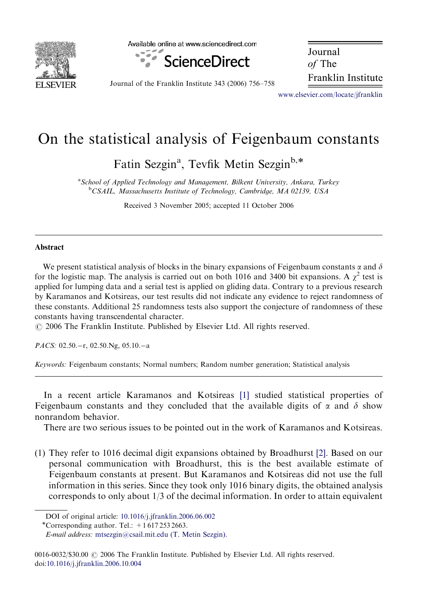

Available online at www.sciencedirect.com



Journal of The Franklin Institute

Journal of the Franklin Institute 343 (2006) 756–758

<www.elsevier.com/locate/jfranklin>

## On the statistical analysis of Feigenbaum constants

Fatin Sezgin<sup>a</sup>, Tevfik Metin Sezgin<sup>b,\*</sup>

<sup>a</sup> School of Applied Technology and Management, Bilkent University, Ankara, Turkey <sup>b</sup>CSAIL, Massachusetts Institute of Technology, Cambridge, MA 02139, USA

Received 3 November 2005; accepted 11 October 2006

## Abstract

We present statistical analysis of blocks in the binary expansions of Feigenbaum constants  $\alpha$  and  $\delta$ for the logistic map. The analysis is carried out on both 1016 and 3400 bit expansions. A  $\chi^2$  test is applied for lumping data and a serial test is applied on gliding data. Contrary to a previous research by Karamanos and Kotsireas, our test results did not indicate any evidence to reject randomness of these constants. Additional 25 randomness tests also support the conjecture of randomness of these constants having transcendental character.

 $\odot$  2006 The Franklin Institute. Published by Elsevier Ltd. All rights reserved.

PACS: 02.50.-r, 02.50.Ng, 05.10.-a

Keywords: Feigenbaum constants; Normal numbers; Random number generation; Statistical analysis

In a recent article Karamanos and Kotsireas [\[1\]](#page-2-0) studied statistical properties of Feigenbaum constants and they concluded that the available digits of  $\alpha$  and  $\delta$  show nonrandom behavior.

There are two serious issues to be pointed out in the work of Karamanos and Kotsireas.

(1) They refer to 1016 decimal digit expansions obtained by Broadhurst [\[2\]](#page-2-0). Based on our personal communication with Broadhurst, this is the best available estimate of Feigenbaum constants at present. But Karamanos and Kotsireas did not use the full information in this series. Since they took only 1016 binary digits, the obtained analysis corresponds to only about 1/3 of the decimal information. In order to attain equivalent

0016-0032/\$30.00  $\odot$  2006 The Franklin Institute. Published by Elsevier Ltd. All rights reserved. doi[:10.1016/j.jfranklin.2006.10.004](dx.doi.org/10.1016/j.jfranklin.2006.10.004)

DOI of original article: [10.1016/j.jfranklin.2006.06.002](dx.doi.org/10.1016/j.jfranklin.2006.06.002) -

<sup>\*</sup>Corresponding author. Tel.:  $+16172532663$ .

E-mail address: [mtsezgin@csail.mit.edu \(T. Metin Sezgin\).](mailto:mtsezgin@csail.mit.edu)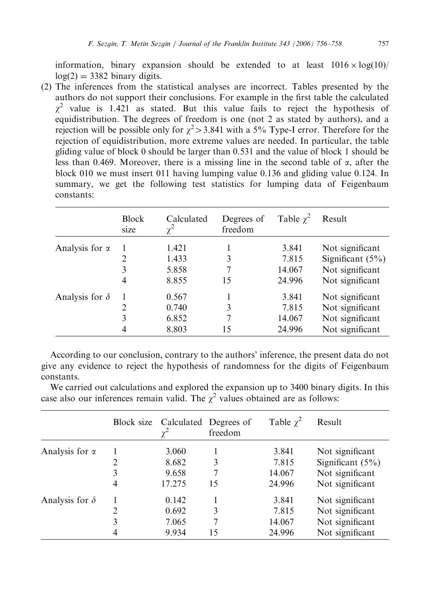information, binary expansion should be extended to at least  $1016 \times \log(10)$  $log(2) = 3382$  binary digits.

(2) The inferences from the statistical analyses are incorrect. Tables presented by the authors do not support their conclusions. For example in the first table the calculated  $\gamma^2$  value is 1.421 as stated. But this value fails to reject the hypothesis of equidistribution. The degrees of freedom is one (not 2 as stated by authors), and a rejection will be possible only for  $\chi^2$  > 3.841 with a 5% Type-I error. Therefore for the rejection of equidistribution, more extreme values are needed. In particular, the table gliding value of block 0 should be larger than 0.531 and the value of block 1 should be less than 0.469. Moreover, there is a missing line in the second table of  $\alpha$ , after the block 010 we must insert 011 having lumping value 0.136 and gliding value 0.124. In summary, we get the following test statistics for lumping data of Feigenbaum constants:

|                       | <b>Block</b><br>size | Calculated<br>$\chi^2$ | Degrees of<br>freedom | Table $\chi^2$ | Result              |
|-----------------------|----------------------|------------------------|-----------------------|----------------|---------------------|
| Analysis for $\alpha$ |                      | 1.421                  |                       | 3.841          | Not significant     |
|                       |                      | 1.433                  | 3                     | 7.815          | Significant $(5\%)$ |
|                       | 3                    | 5.858                  |                       | 14.067         | Not significant     |
|                       | 4                    | 8.855                  | 15                    | 24.996         | Not significant     |
| Analysis for $\delta$ |                      | 0.567                  |                       | 3.841          | Not significant     |
|                       |                      | 0.740                  | 3                     | 7.815          | Not significant     |
|                       | 3                    | 6.852                  |                       | 14.067         | Not significant     |
|                       | 4                    | 8.803                  | 15                    | 24.996         | Not significant     |

According to our conclusion, contrary to the authors' inference, the present data do not give any evidence to reject the hypothesis of randomness for the digits of Feigenbaum constants.

We carried out calculations and explored the expansion up to 3400 binary digits. In this case also our inferences remain valid. The  $\chi^2$  values obtained are as follows:

|                       |   | Block size Calculated Degrees of | freedom | Table $\chi^2$ | Result             |
|-----------------------|---|----------------------------------|---------|----------------|--------------------|
| Analysis for $\alpha$ |   | 3.060                            |         | 3.841          | Not significant    |
|                       | 2 | 8.682                            | 3       | 7.815          | Significant $(5%)$ |
|                       | 3 | 9.658                            |         | 14.067         | Not significant    |
|                       | 4 | 17.275                           | 15      | 24.996         | Not significant    |
| Analysis for $\delta$ |   | 0.142                            |         | 3.841          | Not significant    |
|                       | 2 | 0.692                            | 3       | 7.815          | Not significant    |
|                       | 3 | 7.065                            |         | 14.067         | Not significant    |
|                       | 4 | 9.934                            | 15      | 24.996         | Not significant    |